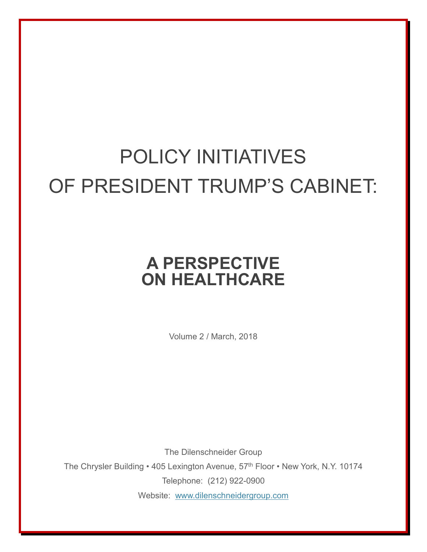## POLICY INITIATIVES OF PRESIDENT TRUMP'S CABINET:

## **A PERSPECTIVE ON HEALTHCARE**

Volume 2 / March, 2018

The Dilenschneider Group The Chrysler Building • 405 Lexington Avenue, 57<sup>th</sup> Floor • New York, N.Y. 10174 Telephone: (212) 922-0900 Website: [www.dilenschneidergroup.com](http://www.dilenschneidergroup.com/)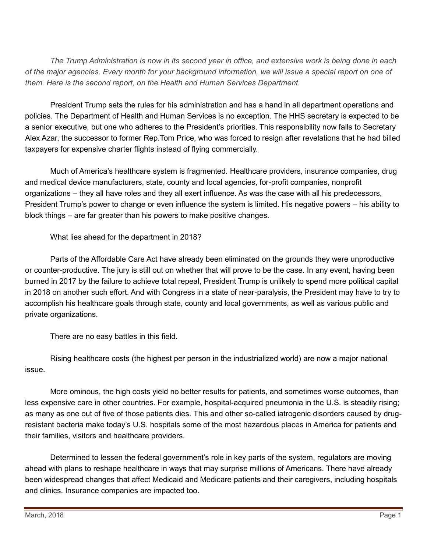*The Trump Administration is now in its second year in office, and extensive work is being done in each of the major agencies. Every month for your background information, we will issue a special report on one of them. Here is the second report, on the Health and Human Services Department.*

President Trump sets the rules for his administration and has a hand in all department operations and policies. The Department of Health and Human Services is no exception. The HHS secretary is expected to be a senior executive, but one who adheres to the President's priorities. This responsibility now falls to Secretary Alex Azar, the successor to former Rep.Tom Price, who was forced to resign after revelations that he had billed taxpayers for expensive charter flights instead of flying commercially.

Much of America's healthcare system is fragmented. Healthcare providers, insurance companies, drug and medical device manufacturers, state, county and local agencies, for-profit companies, nonprofit organizations – they all have roles and they all exert influence. As was the case with all his predecessors, President Trump's power to change or even influence the system is limited. His negative powers – his ability to block things – are far greater than his powers to make positive changes.

What lies ahead for the department in 2018?

Parts of the Affordable Care Act have already been eliminated on the grounds they were unproductive or counter-productive. The jury is still out on whether that will prove to be the case. In any event, having been burned in 2017 by the failure to achieve total repeal, President Trump is unlikely to spend more political capital in 2018 on another such effort. And with Congress in a state of near-paralysis, the President may have to try to accomplish his healthcare goals through state, county and local governments, as well as various public and private organizations.

There are no easy battles in this field.

Rising healthcare costs (the highest per person in the industrialized world) are now a major national issue.

More ominous, the high costs yield no better results for patients, and sometimes worse outcomes, than less expensive care in other countries. For example, hospital-acquired pneumonia in the U.S. is steadily rising; as many as one out of five of those patients dies. This and other so-called iatrogenic disorders caused by drugresistant bacteria make today's U.S. hospitals some of the most hazardous places in America for patients and their families, visitors and healthcare providers.

Determined to lessen the federal government's role in key parts of the system, regulators are moving ahead with plans to reshape healthcare in ways that may surprise millions of Americans. There have already been widespread changes that affect Medicaid and Medicare patients and their caregivers, including hospitals and clinics. Insurance companies are impacted too.